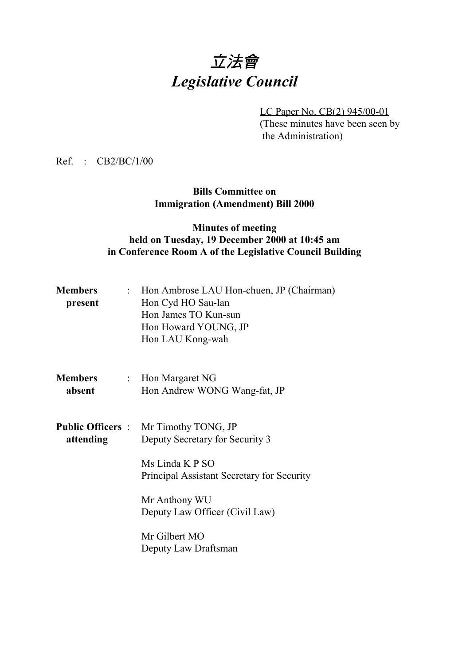# 立法會 *Legislative Council*

LC Paper No. CB(2) 945/00-01

(These minutes have been seen by the Administration)

Ref. : CB2/BC/1/00

## **Bills Committee on Immigration (Amendment) Bill 2000**

# **Minutes of meeting held on Tuesday, 19 December 2000 at 10:45 am in Conference Room A of the Legislative Council Building**

| <b>Members</b><br>present | : Hon Ambrose LAU Hon-chuen, JP (Chairman)<br>Hon Cyd HO Sau-lan<br>Hon James TO Kun-sun<br>Hon Howard YOUNG, JP<br>Hon LAU Kong-wah |
|---------------------------|--------------------------------------------------------------------------------------------------------------------------------------|
| <b>Members</b><br>absent  | : Hon Margaret $NG$<br>Hon Andrew WONG Wang-fat, JP                                                                                  |
| attending                 | <b>Public Officers</b> : Mr Timothy TONG, JP<br>Deputy Secretary for Security 3<br>Ms Linda K P SO                                   |
|                           | Principal Assistant Secretary for Security<br>Mr Anthony WU<br>Deputy Law Officer (Civil Law)                                        |
|                           | Mr Gilbert MO<br>Deputy Law Draftsman                                                                                                |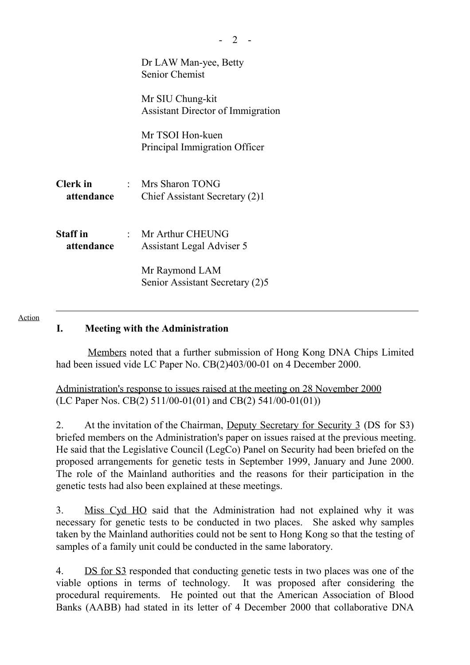|                               | Dr LAW Man-yee, Betty<br><b>Senior Chemist</b>               |
|-------------------------------|--------------------------------------------------------------|
|                               | Mr SIU Chung-kit<br><b>Assistant Director of Immigration</b> |
|                               | Mr TSOI Hon-kuen<br>Principal Immigration Officer            |
| Clerk in<br>attendance        | : Mrs Sharon TONG<br>Chief Assistant Secretary (2)1          |
| <b>Staff</b> in<br>attendance | : Mr Arthur CHEUNG<br>Assistant Legal Adviser 5              |
|                               | Mr Raymond LAM<br>Senior Assistant Secretary (2)5            |

#### Action

#### **I. Meeting with the Administration**

 Members noted that a further submission of Hong Kong DNA Chips Limited had been issued vide LC Paper No. CB(2)403/00-01 on 4 December 2000.

Administration's response to issues raised at the meeting on 28 November 2000 (LC Paper Nos. CB(2) 511/00-01(01) and CB(2) 541/00-01(01))

2. At the invitation of the Chairman, Deputy Secretary for Security 3 (DS for S3) briefed members on the Administration's paper on issues raised at the previous meeting. He said that the Legislative Council (LegCo) Panel on Security had been briefed on the proposed arrangements for genetic tests in September 1999, January and June 2000. The role of the Mainland authorities and the reasons for their participation in the genetic tests had also been explained at these meetings.

3. Miss Cyd HO said that the Administration had not explained why it was necessary for genetic tests to be conducted in two places. She asked why samples taken by the Mainland authorities could not be sent to Hong Kong so that the testing of samples of a family unit could be conducted in the same laboratory.

4. DS for S3 responded that conducting genetic tests in two places was one of the viable options in terms of technology. It was proposed after considering the procedural requirements. He pointed out that the American Association of Blood Banks (AABB) had stated in its letter of 4 December 2000 that collaborative DNA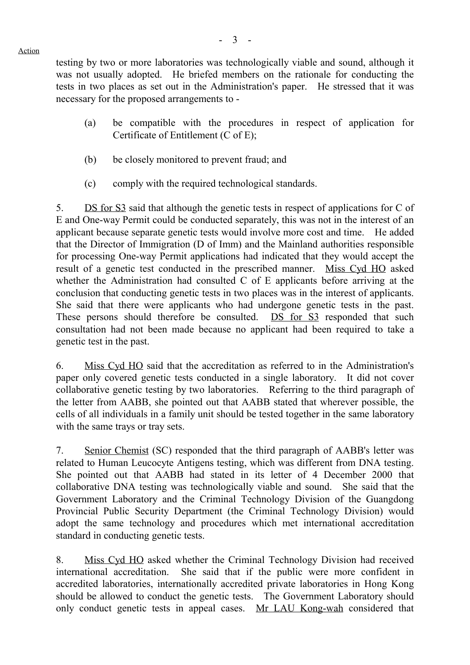testing by two or more laboratories was technologically viable and sound, although it was not usually adopted. He briefed members on the rationale for conducting the tests in two places as set out in the Administration's paper. He stressed that it was

- (a) be compatible with the procedures in respect of application for Certificate of Entitlement (C of E);
- (b) be closely monitored to prevent fraud; and

necessary for the proposed arrangements to -

(c) comply with the required technological standards.

5. DS for S3 said that although the genetic tests in respect of applications for C of E and One-way Permit could be conducted separately, this was not in the interest of an applicant because separate genetic tests would involve more cost and time. He added that the Director of Immigration (D of Imm) and the Mainland authorities responsible for processing One-way Permit applications had indicated that they would accept the result of a genetic test conducted in the prescribed manner. Miss Cyd HO asked whether the Administration had consulted C of E applicants before arriving at the conclusion that conducting genetic tests in two places was in the interest of applicants. She said that there were applicants who had undergone genetic tests in the past. These persons should therefore be consulted. DS for S3 responded that such consultation had not been made because no applicant had been required to take a genetic test in the past.

6. Miss Cyd HO said that the accreditation as referred to in the Administration's paper only covered genetic tests conducted in a single laboratory. It did not cover collaborative genetic testing by two laboratories. Referring to the third paragraph of the letter from AABB, she pointed out that AABB stated that wherever possible, the cells of all individuals in a family unit should be tested together in the same laboratory with the same trays or tray sets.

7. Senior Chemist (SC) responded that the third paragraph of AABB's letter was related to Human Leucocyte Antigens testing, which was different from DNA testing. She pointed out that AABB had stated in its letter of 4 December 2000 that collaborative DNA testing was technologically viable and sound. She said that the Government Laboratory and the Criminal Technology Division of the Guangdong Provincial Public Security Department (the Criminal Technology Division) would adopt the same technology and procedures which met international accreditation standard in conducting genetic tests.

8. Miss Cyd HO asked whether the Criminal Technology Division had received international accreditation. She said that if the public were more confident in accredited laboratories, internationally accredited private laboratories in Hong Kong should be allowed to conduct the genetic tests. The Government Laboratory should only conduct genetic tests in appeal cases. Mr LAU Kong-wah considered that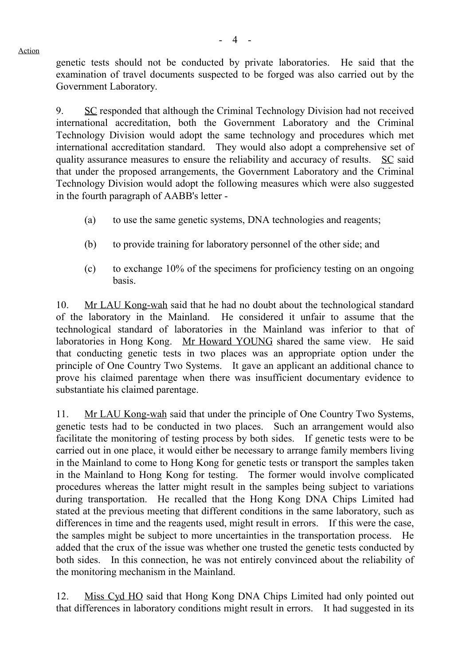genetic tests should not be conducted by private laboratories. He said that the examination of travel documents suspected to be forged was also carried out by the Government Laboratory.

9. SC responded that although the Criminal Technology Division had not received international accreditation, both the Government Laboratory and the Criminal Technology Division would adopt the same technology and procedures which met international accreditation standard. They would also adopt a comprehensive set of quality assurance measures to ensure the reliability and accuracy of results. SC said that under the proposed arrangements, the Government Laboratory and the Criminal Technology Division would adopt the following measures which were also suggested in the fourth paragraph of AABB's letter -

- (a) to use the same genetic systems, DNA technologies and reagents;
- (b) to provide training for laboratory personnel of the other side; and
- (c) to exchange 10% of the specimens for proficiency testing on an ongoing basis.

10. Mr LAU Kong-wah said that he had no doubt about the technological standard of the laboratory in the Mainland. He considered it unfair to assume that the technological standard of laboratories in the Mainland was inferior to that of laboratories in Hong Kong. Mr Howard YOUNG shared the same view. He said that conducting genetic tests in two places was an appropriate option under the principle of One Country Two Systems. It gave an applicant an additional chance to prove his claimed parentage when there was insufficient documentary evidence to substantiate his claimed parentage.

11. Mr LAU Kong-wah said that under the principle of One Country Two Systems, genetic tests had to be conducted in two places. Such an arrangement would also facilitate the monitoring of testing process by both sides. If genetic tests were to be carried out in one place, it would either be necessary to arrange family members living in the Mainland to come to Hong Kong for genetic tests or transport the samples taken in the Mainland to Hong Kong for testing. The former would involve complicated procedures whereas the latter might result in the samples being subject to variations during transportation. He recalled that the Hong Kong DNA Chips Limited had stated at the previous meeting that different conditions in the same laboratory, such as differences in time and the reagents used, might result in errors. If this were the case, the samples might be subject to more uncertainties in the transportation process. He added that the crux of the issue was whether one trusted the genetic tests conducted by both sides. In this connection, he was not entirely convinced about the reliability of the monitoring mechanism in the Mainland.

12. Miss Cyd HO said that Hong Kong DNA Chips Limited had only pointed out that differences in laboratory conditions might result in errors. It had suggested in its

Action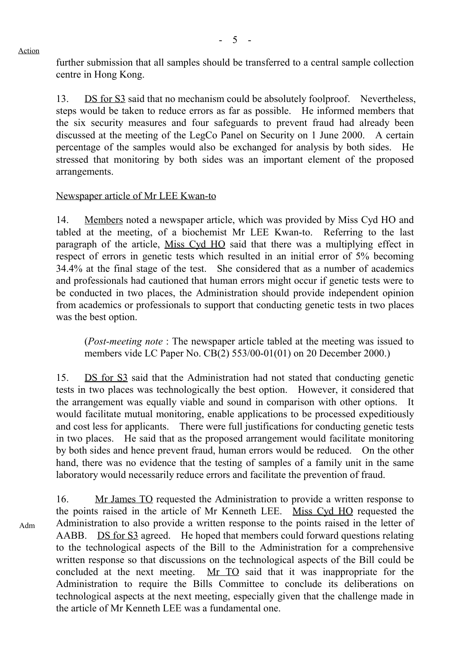Action

further submission that all samples should be transferred to a central sample collection centre in Hong Kong.

13. DS for S3 said that no mechanism could be absolutely foolproof. Nevertheless, steps would be taken to reduce errors as far as possible. He informed members that the six security measures and four safeguards to prevent fraud had already been discussed at the meeting of the LegCo Panel on Security on 1 June 2000. A certain percentage of the samples would also be exchanged for analysis by both sides. He stressed that monitoring by both sides was an important element of the proposed arrangements.

### Newspaper article of Mr LEE Kwan-to

14. Members noted a newspaper article, which was provided by Miss Cyd HO and tabled at the meeting, of a biochemist Mr LEE Kwan-to. Referring to the last paragraph of the article, Miss Cyd HO said that there was a multiplying effect in respect of errors in genetic tests which resulted in an initial error of 5% becoming 34.4% at the final stage of the test. She considered that as a number of academics and professionals had cautioned that human errors might occur if genetic tests were to be conducted in two places, the Administration should provide independent opinion from academics or professionals to support that conducting genetic tests in two places was the best option.

(*Post-meeting note* : The newspaper article tabled at the meeting was issued to members vide LC Paper No. CB(2) 553/00-01(01) on 20 December 2000.)

15. DS for S3 said that the Administration had not stated that conducting genetic tests in two places was technologically the best option. However, it considered that the arrangement was equally viable and sound in comparison with other options. It would facilitate mutual monitoring, enable applications to be processed expeditiously and cost less for applicants. There were full justifications for conducting genetic tests in two places. He said that as the proposed arrangement would facilitate monitoring by both sides and hence prevent fraud, human errors would be reduced. On the other hand, there was no evidence that the testing of samples of a family unit in the same laboratory would necessarily reduce errors and facilitate the prevention of fraud.

Adm

16. Mr James TO requested the Administration to provide a written response to the points raised in the article of Mr Kenneth LEE. Miss Cyd HO requested the Administration to also provide a written response to the points raised in the letter of AABB. DS for S3 agreed. He hoped that members could forward questions relating to the technological aspects of the Bill to the Administration for a comprehensive written response so that discussions on the technological aspects of the Bill could be concluded at the next meeting. Mr TO said that it was inappropriate for the Administration to require the Bills Committee to conclude its deliberations on technological aspects at the next meeting, especially given that the challenge made in the article of Mr Kenneth LEE was a fundamental one.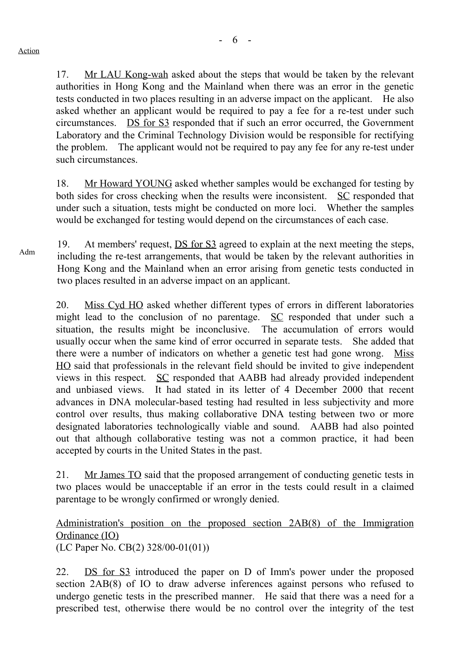17. Mr LAU Kong-wah asked about the steps that would be taken by the relevant authorities in Hong Kong and the Mainland when there was an error in the genetic tests conducted in two places resulting in an adverse impact on the applicant. He also asked whether an applicant would be required to pay a fee for a re-test under such circumstances. DS for S3 responded that if such an error occurred, the Government Laboratory and the Criminal Technology Division would be responsible for rectifying the problem. The applicant would not be required to pay any fee for any re-test under such circumstances.

18. Mr Howard YOUNG asked whether samples would be exchanged for testing by both sides for cross checking when the results were inconsistent. SC responded that under such a situation, tests might be conducted on more loci. Whether the samples would be exchanged for testing would depend on the circumstances of each case.

19. At members' request, <u>DS for S3</u> agreed to explain at the next meeting the steps,<br>Adm including the re-test arrangements, that would be taken by the relevant authorities in Hong Kong and the Mainland when an error arising from genetic tests conducted in two places resulted in an adverse impact on an applicant.

20. Miss Cyd HO asked whether different types of errors in different laboratories might lead to the conclusion of no parentage. SC responded that under such a situation, the results might be inconclusive. The accumulation of errors would usually occur when the same kind of error occurred in separate tests. She added that there were a number of indicators on whether a genetic test had gone wrong. Miss HO said that professionals in the relevant field should be invited to give independent views in this respect. SC responded that AABB had already provided independent and unbiased views. It had stated in its letter of 4 December 2000 that recent advances in DNA molecular-based testing had resulted in less subjectivity and more control over results, thus making collaborative DNA testing between two or more designated laboratories technologically viable and sound. AABB had also pointed out that although collaborative testing was not a common practice, it had been accepted by courts in the United States in the past.

21. Mr James TO said that the proposed arrangement of conducting genetic tests in two places would be unacceptable if an error in the tests could result in a claimed parentage to be wrongly confirmed or wrongly denied.

Administration's position on the proposed section 2AB(8) of the Immigration Ordinance (IO) (LC Paper No. CB(2) 328/00-01(01))

22. DS for S3 introduced the paper on D of Imm's power under the proposed section 2AB(8) of IO to draw adverse inferences against persons who refused to undergo genetic tests in the prescribed manner. He said that there was a need for a prescribed test, otherwise there would be no control over the integrity of the test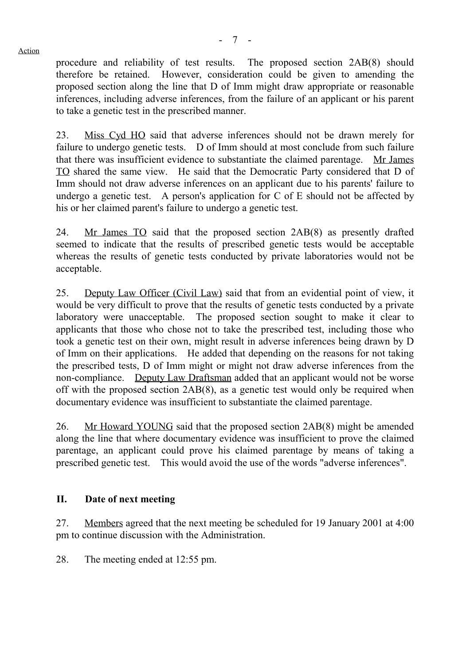procedure and reliability of test results. The proposed section 2AB(8) should therefore be retained. However, consideration could be given to amending the proposed section along the line that D of Imm might draw appropriate or reasonable inferences, including adverse inferences, from the failure of an applicant or his parent to take a genetic test in the prescribed manner.

23. Miss Cyd HO said that adverse inferences should not be drawn merely for failure to undergo genetic tests. D of Imm should at most conclude from such failure that there was insufficient evidence to substantiate the claimed parentage. Mr James TO shared the same view. He said that the Democratic Party considered that D of Imm should not draw adverse inferences on an applicant due to his parents' failure to undergo a genetic test. A person's application for C of E should not be affected by his or her claimed parent's failure to undergo a genetic test.

24. Mr James TO said that the proposed section 2AB(8) as presently drafted seemed to indicate that the results of prescribed genetic tests would be acceptable whereas the results of genetic tests conducted by private laboratories would not be acceptable.

25. Deputy Law Officer (Civil Law) said that from an evidential point of view, it would be very difficult to prove that the results of genetic tests conducted by a private laboratory were unacceptable. The proposed section sought to make it clear to applicants that those who chose not to take the prescribed test, including those who took a genetic test on their own, might result in adverse inferences being drawn by D of Imm on their applications. He added that depending on the reasons for not taking the prescribed tests, D of Imm might or might not draw adverse inferences from the non-compliance. Deputy Law Draftsman added that an applicant would not be worse off with the proposed section 2AB(8), as a genetic test would only be required when documentary evidence was insufficient to substantiate the claimed parentage.

26. Mr Howard YOUNG said that the proposed section 2AB(8) might be amended along the line that where documentary evidence was insufficient to prove the claimed parentage, an applicant could prove his claimed parentage by means of taking a prescribed genetic test. This would avoid the use of the words "adverse inferences".

#### **II. Date of next meeting**

27. Members agreed that the next meeting be scheduled for 19 January 2001 at 4:00 pm to continue discussion with the Administration.

28. The meeting ended at 12:55 pm.